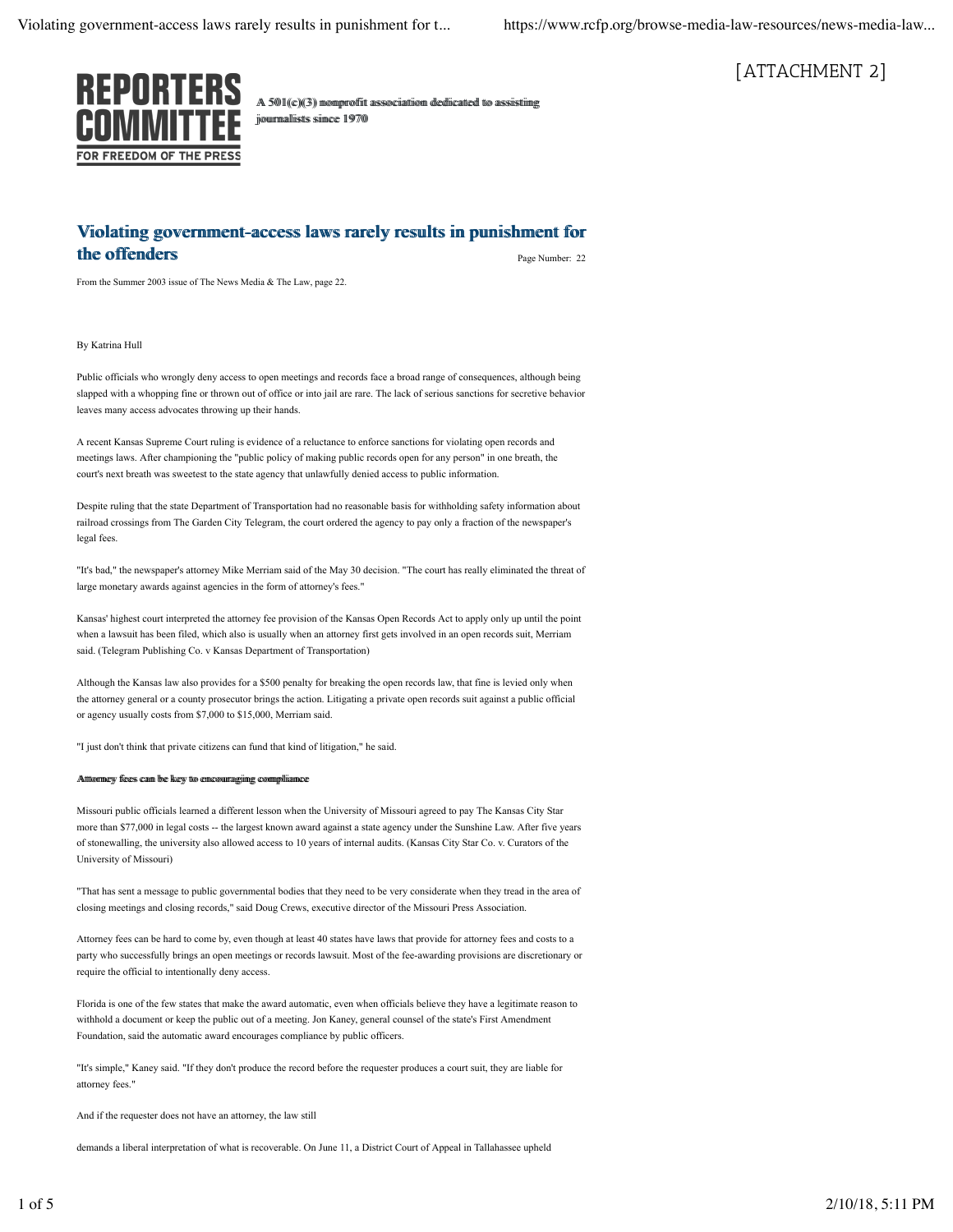

A 501((c))(3)) momproffitt asssociiattiiom dediicatted tto asssisttiing joouurmalliistts siimce 1970

# [ATTACHMENT 2]

#### Page Number: 22 Violating government-access laws rarely results in punishment for the offenders

From the Summer 2003 issue of The News Media & The Law, page 22.

By Katrina Hull

Public officials who wrongly deny access to open meetings and records face a broad range of consequences, although being slapped with a whopping fine or thrown out of office or into jail are rare. The lack of serious sanctions for secretive behavior leaves many access advocates throwing up their hands.

A recent Kansas Supreme Court ruling is evidence of a reluctance to enforce sanctions for violating open records and meetings laws. After championing the "public policy of making public records open for any person" in one breath, the court's next breath was sweetest to the state agency that unlawfully denied access to public information.

Despite ruling that the state Department of Transportation had no reasonable basis for withholding safety information about railroad crossings from The Garden City Telegram, the court ordered the agency to pay only a fraction of the newspaper's legal fees.

"It's bad," the newspaper's attorney Mike Merriam said of the May 30 decision. "The court has really eliminated the threat of large monetary awards against agencies in the form of attorney's fees."

Kansas' highest court interpreted the attorney fee provision of the Kansas Open Records Act to apply only up until the point when a lawsuit has been filed, which also is usually when an attorney first gets involved in an open records suit, Merriam said. (Telegram Publishing Co. v Kansas Department of Transportation)

Although the Kansas law also provides for a \$500 penalty for breaking the open records law, that fine is levied only when the attorney general or a county prosecutor brings the action. Litigating a private open records suit against a public official or agency usually costs from \$7,000 to \$15,000, Merriam said.

"I just don't think that private citizens can fund that kind of litigation," he said.

#### Attttomneyy ffeees caan bee keeyy tto enncoouuraggiingg commpiliiaancee

Missouri public officials learned a different lesson when the University of Missouri agreed to pay The Kansas City Star more than \$77,000 in legal costs -- the largest known award against a state agency under the Sunshine Law. After five years of stonewalling, the university also allowed access to 10 years of internal audits. (Kansas City Star Co. v. Curators of the University of Missouri)

"That has sent a message to public governmental bodies that they need to be very considerate when they tread in the area of closing meetings and closing records," said Doug Crews, executive director of the Missouri Press Association.

Attorney fees can be hard to come by, even though at least 40 states have laws that provide for attorney fees and costs to a party who successfully brings an open meetings or records lawsuit. Most of the fee-awarding provisions are discretionary or require the official to intentionally deny access.

Florida is one of the few states that make the award automatic, even when officials believe they have a legitimate reason to withhold a document or keep the public out of a meeting. Jon Kaney, general counsel of the state's First Amendment Foundation, said the automatic award encourages compliance by public officers.

"It's simple," Kaney said. "If they don't produce the record before the requester produces a court suit, they are liable for attorney fees."

And if the requester does not have an attorney, the law still

demands a liberal interpretation of what is recoverable. On June 11, a District Court of Appeal in Tallahassee upheld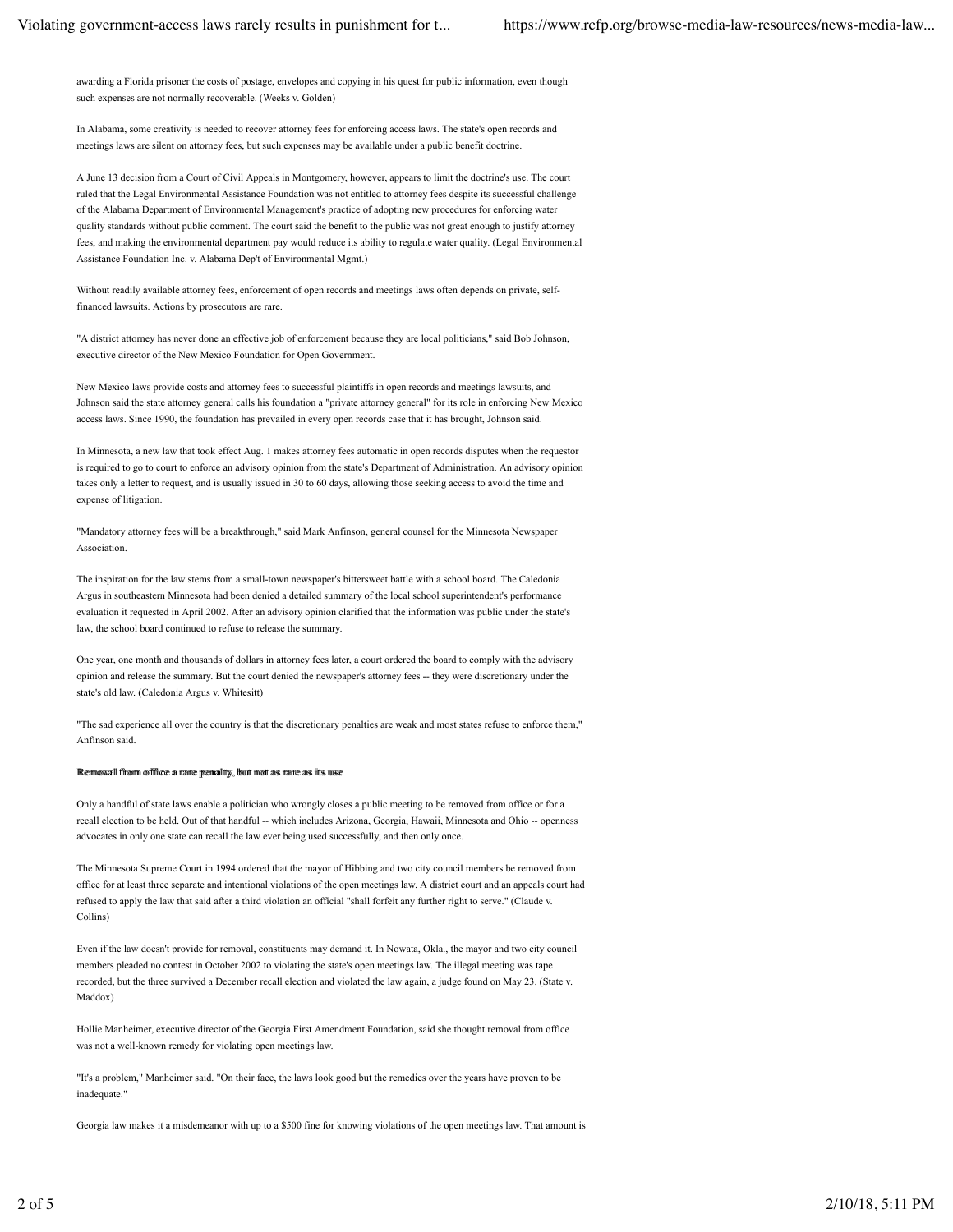awarding a Florida prisoner the costs of postage, envelopes and copying in his quest for public information, even though such expenses are not normally recoverable. (Weeks v. Golden)

In Alabama, some creativity is needed to recover attorney fees for enforcing access laws. The state's open records and meetings laws are silent on attorney fees, but such expenses may be available under a public benefit doctrine.

A June 13 decision from a Court of Civil Appeals in Montgomery, however, appears to limit the doctrine's use. The court ruled that the Legal Environmental Assistance Foundation was not entitled to attorney fees despite its successful challenge of the Alabama Department of Environmental Management's practice of adopting new procedures for enforcing water quality standards without public comment. The court said the benefit to the public was not great enough to justify attorney fees, and making the environmental department pay would reduce its ability to regulate water quality. (Legal Environmental Assistance Foundation Inc. v. Alabama Dep't of Environmental Mgmt.)

Without readily available attorney fees, enforcement of open records and meetings laws often depends on private, selffinanced lawsuits. Actions by prosecutors are rare.

"A district attorney has never done an effective job of enforcement because they are local politicians," said Bob Johnson, executive director of the New Mexico Foundation for Open Government.

New Mexico laws provide costs and attorney fees to successful plaintiffs in open records and meetings lawsuits, and Johnson said the state attorney general calls his foundation a "private attorney general" for its role in enforcing New Mexico access laws. Since 1990, the foundation has prevailed in every open records case that it has brought, Johnson said.

In Minnesota, a new law that took effect Aug. 1 makes attorney fees automatic in open records disputes when the requestor is required to go to court to enforce an advisory opinion from the state's Department of Administration. An advisory opinion takes only a letter to request, and is usually issued in 30 to 60 days, allowing those seeking access to avoid the time and expense of litigation

"Mandatory attorney fees will be a breakthrough," said Mark Anfinson, general counsel for the Minnesota Newspaper Association.

The inspiration for the law stems from a small-town newspaper's bittersweet battle with a school board. The Caledonia Argus in southeastern Minnesota had been denied a detailed summary of the local school superintendent's performance evaluation it requested in April 2002. After an advisory opinion clarified that the information was public under the state's law, the school board continued to refuse to release the summary.

One year, one month and thousands of dollars in attorney fees later, a court ordered the board to comply with the advisory opinion and release the summary. But the court denied the newspaper's attorney fees -- they were discretionary under the state's old law. (Caledonia Argus v. Whitesitt)

"The sad experience all over the country is that the discretionary penalties are weak and most states refuse to enforce them," Anfinson said.

#### Reemmowaall ffromm ooffffiicce a rraarree premaallttyy, bbutt moott aass rraarre aas iittss uusse

Only a handful of state laws enable a politician who wrongly closes a public meeting to be removed from office or for a recall election to be held. Out of that handful -- which includes Arizona, Georgia, Hawaii, Minnesota and Ohio -- openness advocates in only one state can recall the law ever being used successfully, and then only once.

The Minnesota Supreme Court in 1994 ordered that the mayor of Hibbing and two city council members be removed from office for at least three separate and intentional violations of the open meetings law. A district court and an appeals court had refused to apply the law that said after a third violation an official "shall forfeit any further right to serve." (Claude v. Collins)

Even if the law doesn't provide for removal, constituents may demand it. In Nowata, Okla., the mayor and two city council members pleaded no contest in October 2002 to violating the state's open meetings law. The illegal meeting was tape recorded, but the three survived a December recall election and violated the law again, a judge found on May 23. (State v. Maddox)

Hollie Manheimer, executive director of the Georgia First Amendment Foundation, said she thought removal from office was not a well-known remedy for violating open meetings law.

"It's a problem," Manheimer said. "On their face, the laws look good but the remedies over the years have proven to be inadequate."

Georgia law makes it a misdemeanor with up to a \$500 fine for knowing violations of the open meetings law. That amount is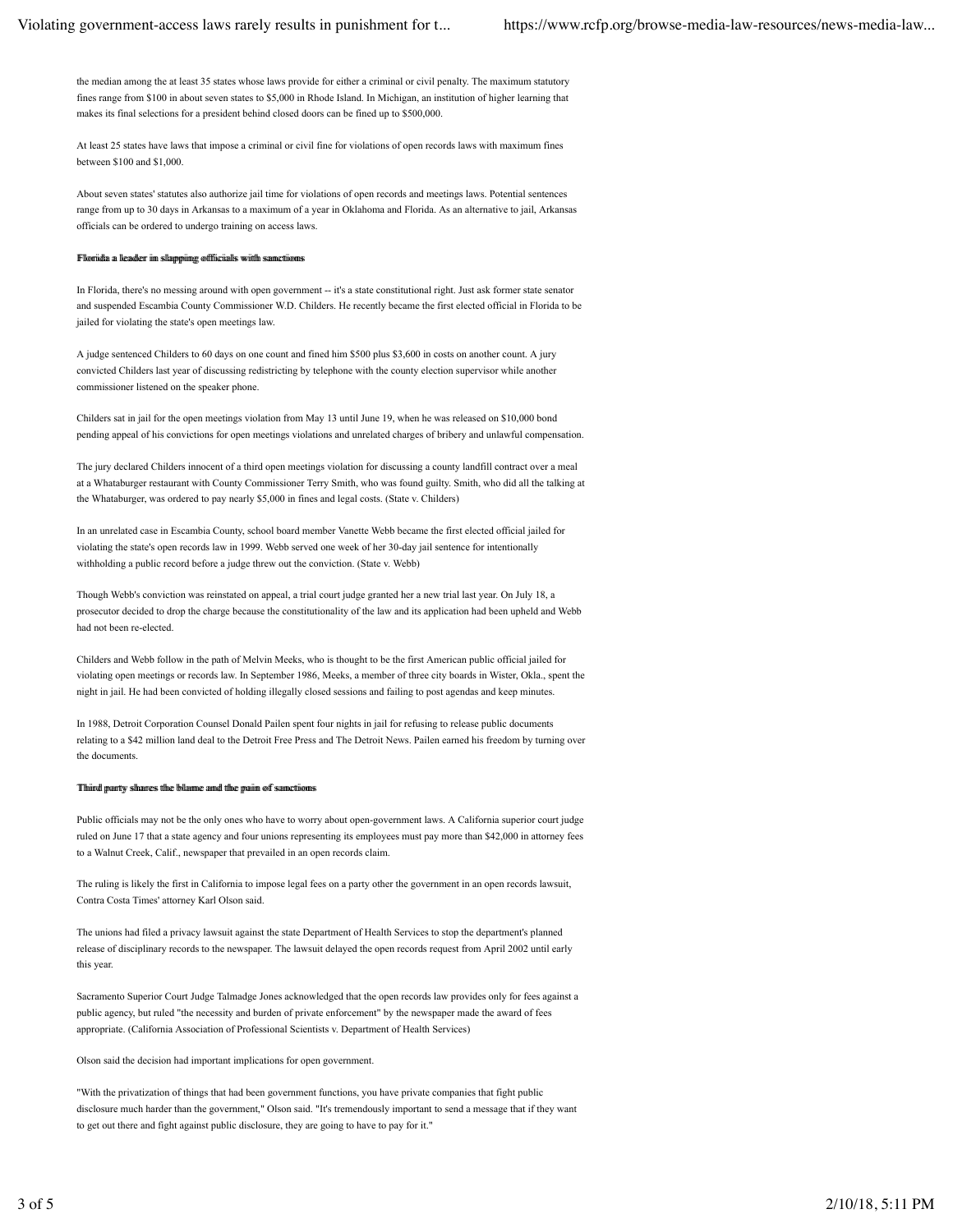the median among the at least 35 states whose laws provide for either a criminal or civil penalty. The maximum statutory fines range from \$100 in about seven states to \$5,000 in Rhode Island. In Michigan, an institution of higher learning that makes its final selections for a president behind closed doors can be fined up to \$500,000.

At least 25 states have laws that impose a criminal or civil fine for violations of open records laws with maximum fines between \$100 and \$1,000.

About seven states' statutes also authorize jail time for violations of open records and meetings laws. Potential sentences range from up to 30 days in Arkansas to a maximum of a year in Oklahoma and Florida. As an alternative to jail, Arkansas officials can be ordered to undergo training on access laws.

#### Filooriidaa a lleaadderr iim ssllapppiingg oofffiiciiaalls wwiitth ssamettiioonss

In Florida, there's no messing around with open government -- it's a state constitutional right. Just ask former state senator and suspended Escambia County Commissioner W.D. Childers. He recently became the first elected official in Florida to be jailed for violating the state's open meetings law.

A judge sentenced Childers to 60 days on one count and fined him \$500 plus \$3,600 in costs on another count. A jury convicted Childers last year of discussing redistricting by telephone with the county election supervisor while another commissioner listened on the speaker phone.

Childers sat in jail for the open meetings violation from May 13 until June 19, when he was released on \$10,000 bond pending appeal of his convictions for open meetings violations and unrelated charges of bribery and unlawful compensation.

The jury declared Childers innocent of a third open meetings violation for discussing a county landfill contract over a meal at a Whataburger restaurant with County Commissioner Terry Smith, who was found guilty. Smith, who did all the talking at the Whataburger, was ordered to pay nearly \$5,000 in fines and legal costs. (State v. Childers)

In an unrelated case in Escambia County, school board member Vanette Webb became the first elected official jailed for violating the state's open records law in 1999. Webb served one week of her 30-day jail sentence for intentionally withholding a public record before a judge threw out the conviction. (State v. Webb)

Though Webb's conviction was reinstated on appeal, a trial court judge granted her a new trial last year. On July 18, a prosecutor decided to drop the charge because the constitutionality of the law and its application had been upheld and Webb had not been re-elected.

Childers and Webb follow in the path of Melvin Meeks, who is thought to be the first American public official jailed for violating open meetings or records law. In September 1986, Meeks, a member of three city boards in Wister, Okla., spent the night in jail. He had been convicted of holding illegally closed sessions and failing to post agendas and keep minutes.

In 1988, Detroit Corporation Counsel Donald Pailen spent four nights in jail for refusing to release public documents relating to a \$42 million land deal to the Detroit Free Press and The Detroit News. Pailen earned his freedom by turning over the documents.

#### Thiirrdd praarttyy sshaarrees tthhee bbllaammee aanndd tthhee ppaaiim ooff ssaannccttiioonnss

Public officials may not be the only ones who have to worry about open-government laws. A California superior court judge ruled on June 17 that a state agency and four unions representing its employees must pay more than \$42,000 in attorney fees to a Walnut Creek, Calif., newspaper that prevailed in an open records claim.

The ruling is likely the first in California to impose legal fees on a party other the government in an open records lawsuit, Contra Costa Times' attorney Karl Olson said.

The unions had filed a privacy lawsuit against the state Department of Health Services to stop the department's planned release of disciplinary records to the newspaper. The lawsuit delayed the open records request from April 2002 until early this year.

Sacramento Superior Court Judge Talmadge Jones acknowledged that the open records law provides only for fees against a public agency, but ruled "the necessity and burden of private enforcement" by the newspaper made the award of fees appropriate. (California Association of Professional Scientists v. Department of Health Services)

Olson said the decision had important implications for open government.

"With the privatization of things that had been government functions, you have private companies that fight public disclosure much harder than the government," Olson said. "It's tremendously important to send a message that if they want to get out there and fight against public disclosure, they are going to have to pay for it."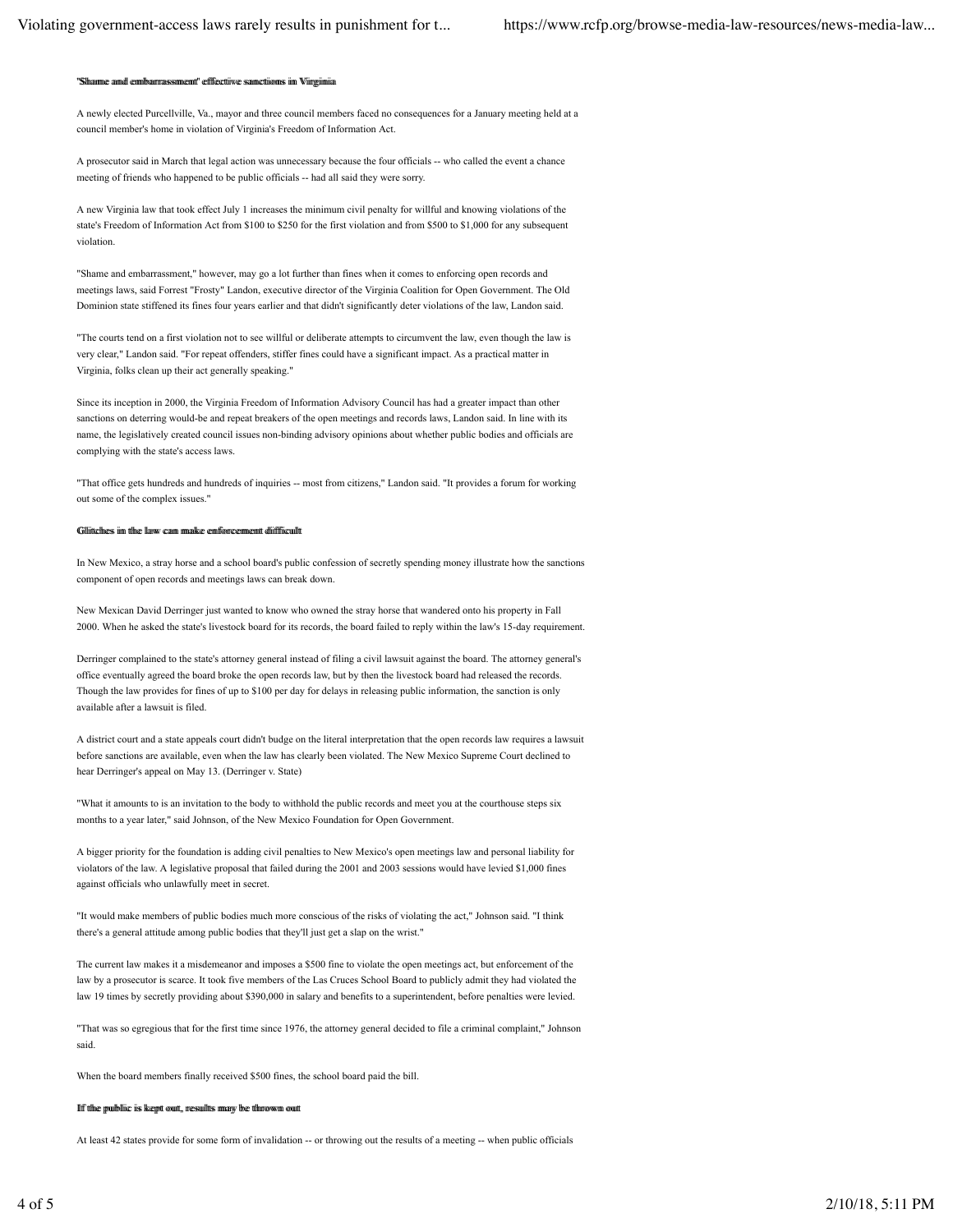#### nemt!' efffecttiiwe sanncttionns iin Wingin and emb

A newly elected Purcellville, Va., mayor and three council members faced no consequences for a January meeting held at a council member's home in violation of Virginia's Freedom of Information Act.

A prosecutor said in March that legal action was unnecessary because the four officials -- who called the event a chance meeting of friends who happened to be public officials -- had all said they were sorry.

A new Virginia law that took effect July 1 increases the minimum civil penalty for willful and knowing violations of the state's Freedom of Information Act from \$100 to \$250 for the first violation and from \$500 to \$1,000 for any subsequent violation

"Shame and embarrassment," however, may go a lot further than fines when it comes to enforcing open records and meetings laws, said Forrest "Frosty" Landon, executive director of the Virginia Coalition for Open Government. The Old Dominion state stiffened its fines four years earlier and that didn't significantly deter violations of the law, Landon said.

"The courts tend on a first violation not to see willful or deliberate attempts to circumvent the law, even though the law is very clear," Landon said. "For repeat offenders, stiffer fines could have a significant impact. As a practical matter in Virginia, folks clean up their act generally speaking.'

Since its inception in 2000, the Virginia Freedom of Information Advisory Council has had a greater impact than other sanctions on deterring would-be and repeat breakers of the open meetings and records laws, Landon said. In line with its name, the legislatively created council issues non-binding advisory opinions about whether public bodies and officials are complying with the state's access laws.

"That office gets hundreds and hundreds of inquiries -- most from citizens," Landon said. "It provides a forum for working out some of the complex issues.'

## Gillittechees iim tilne llaww cann imaalke eenfforrecenneemt diiffficullt

In New Mexico, a stray horse and a school board's public confession of secretly spending money illustrate how the sanctions component of open records and meetings laws can break down.

New Mexican David Derringer just wanted to know who owned the stray horse that wandered onto his property in Fall 2000. When he asked the state's livestock board for its records, the board failed to reply within the law's 15-day requirement.

Derringer complained to the state's attorney general instead of filing a civil lawsuit against the board. The attorney general's office eventually agreed the board broke the open records law, but by then the livestock board had released the records. Though the law provides for fines of up to \$100 per day for delays in releasing public information, the sanction is only available after a lawsuit is filed

A district court and a state appeals court didn't budge on the literal interpretation that the open records law requires a lawsuit before sanctions are available, even when the law has clearly been violated. The New Mexico Supreme Court declined to hear Derringer's appeal on May 13. (Derringer v. State)

"What it amounts to is an invitation to the body to withhold the public records and meet you at the courthouse steps six months to a year later," said Johnson, of the New Mexico Foundation for Open Government.

A bigger priority for the foundation is adding civil penalties to New Mexico's open meetings law and personal liability for violators of the law. A legislative proposal that failed during the 2001 and 2003 sessions would have levied \$1,000 fines against officials who unlawfully meet in secret.

"It would make members of public bodies much more conscious of the risks of violating the act," Johnson said. "I think there's a general attitude among public bodies that they'll just get a slap on the wrist."

The current law makes it a misdemeanor and imposes a \$500 fine to violate the open meetings act, but enforcement of the law by a prosecutor is scarce. It took five members of the Las Cruces School Board to publicly admit they had violated the law 19 times by secretly providing about \$390,000 in salary and benefits to a superintendent, before penalties were levied.

"That was so egregious that for the first time since 1976, the attorney general decided to file a criminal complaint," Johnson said

When the board members finally received \$500 fines, the school board paid the bill.

### Iff time pulbllic its keept out, ressulits may be timrown out

At least 42 states provide for some form of invalidation -- or throwing out the results of a meeting -- when public officials